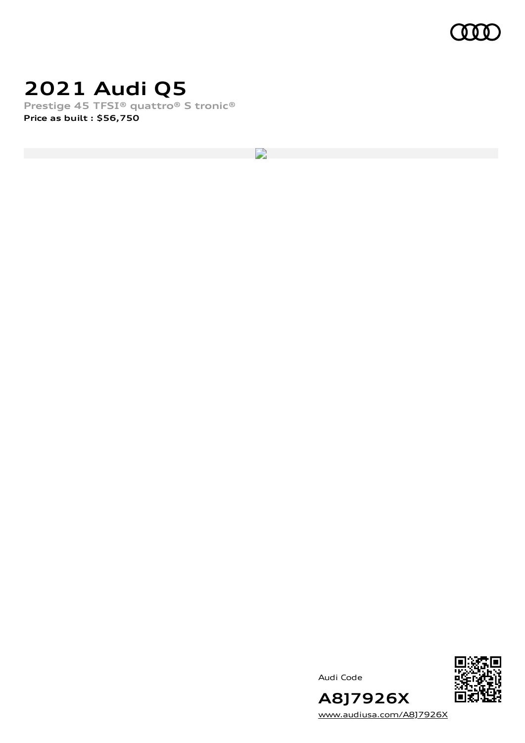

### **2021 Audi Q5**

**Prestige 45 TFSI® quattro® S tronic® Price as built [:](#page-8-0) \$56,750**

D

Audi Code



**A8J7926X** [www.audiusa.com/A8J7926X](https://www.audiusa.com/A8J7926X)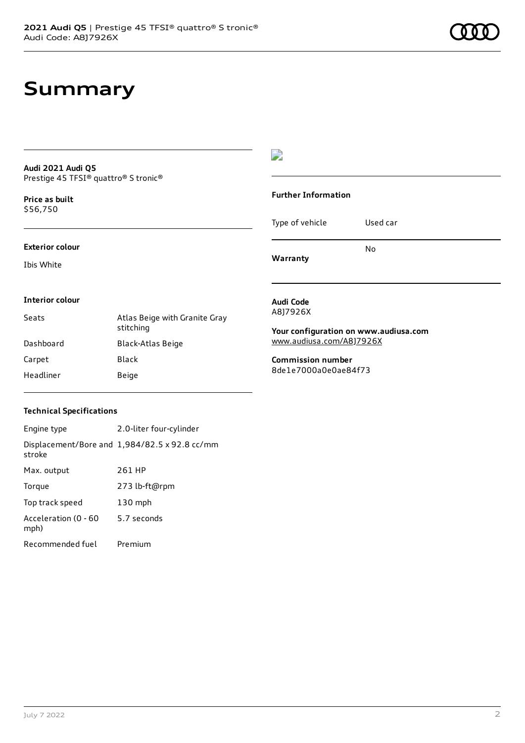### **Summary**

| <b>Audi 2021 Audi 05</b>             |  |
|--------------------------------------|--|
| Prestige 45 TFSI® quattro® S tronic® |  |

**Price as buil[t](#page-8-0)** \$56,750

**Exterior colour**

**Interior colour**

Ibis White

### $\overline{\phantom{a}}$

### **Further Information** Type of vehicle Used car **Warranty** No **Audi Code** A8J7926X **Your configuration on www.audiusa.com** [www.audiusa.com/A8J7926X](https://www.audiusa.com/A8J7926X)

**Commission number** 8de1e7000a0e0ae84f73

# **Technical Specifications**

Carpet Black Headliner Beige

| Engine type                  | 2.0-liter four-cylinder                       |
|------------------------------|-----------------------------------------------|
| stroke                       | Displacement/Bore and 1,984/82.5 x 92.8 cc/mm |
| Max. output                  | 261 HP                                        |
| Torque                       | 273 lb-ft@rpm                                 |
| Top track speed              | $130$ mph                                     |
| Acceleration (0 - 60<br>mph) | 5.7 seconds                                   |
| Recommended fuel             | Premium                                       |

Seats **Atlas Beige with Granite Gray** stitching

Dashboard Black-Atlas Beige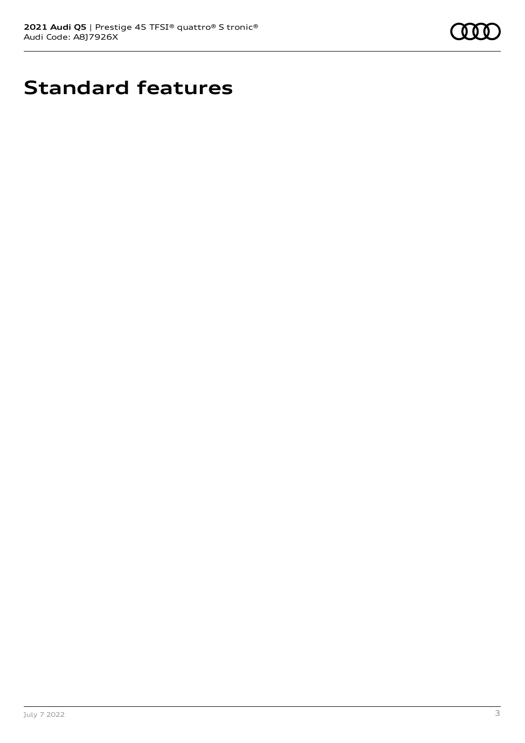

# **Standard features**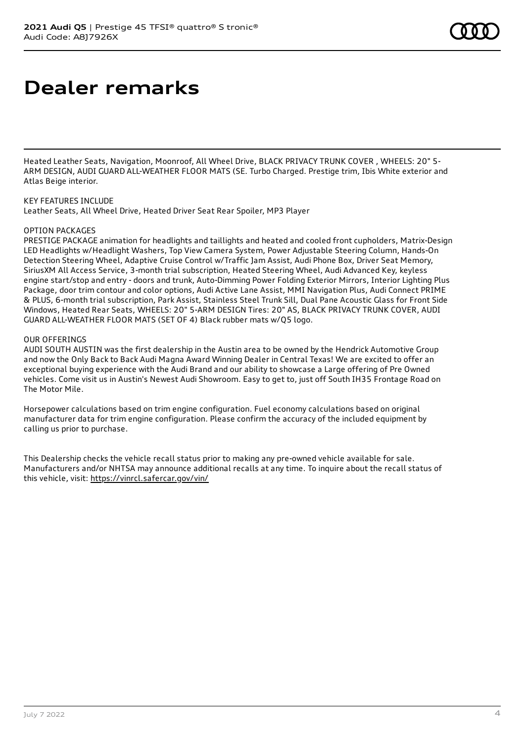# **Dealer remarks**

Heated Leather Seats, Navigation, Moonroof, All Wheel Drive, BLACK PRIVACY TRUNK COVER , WHEELS: 20" 5- ARM DESIGN, AUDI GUARD ALL-WEATHER FLOOR MATS (SE. Turbo Charged. Prestige trim, Ibis White exterior and Atlas Beige interior.

### KEY FEATURES INCLUDE

Leather Seats, All Wheel Drive, Heated Driver Seat Rear Spoiler, MP3 Player

#### OPTION PACKAGES

PRESTIGE PACKAGE animation for headlights and taillights and heated and cooled front cupholders, Matrix-Design LED Headlights w/Headlight Washers, Top View Camera System, Power Adjustable Steering Column, Hands-On Detection Steering Wheel, Adaptive Cruise Control w/Traffic Jam Assist, Audi Phone Box, Driver Seat Memory, SiriusXM All Access Service, 3-month trial subscription, Heated Steering Wheel, Audi Advanced Key, keyless engine start/stop and entry - doors and trunk, Auto-Dimming Power Folding Exterior Mirrors, Interior Lighting Plus Package, door trim contour and color options, Audi Active Lane Assist, MMI Navigation Plus, Audi Connect PRIME & PLUS, 6-month trial subscription, Park Assist, Stainless Steel Trunk Sill, Dual Pane Acoustic Glass for Front Side Windows, Heated Rear Seats, WHEELS: 20" 5-ARM DESIGN Tires: 20" AS, BLACK PRIVACY TRUNK COVER, AUDI GUARD ALL-WEATHER FLOOR MATS (SET OF 4) Black rubber mats w/Q5 logo.

#### OUR OFFERINGS

AUDI SOUTH AUSTIN was the first dealership in the Austin area to be owned by the Hendrick Automotive Group and now the Only Back to Back Audi Magna Award Winning Dealer in Central Texas! We are excited to offer an exceptional buying experience with the Audi Brand and our ability to showcase a Large offering of Pre Owned vehicles. Come visit us in Austin's Newest Audi Showroom. Easy to get to, just off South IH35 Frontage Road on The Motor Mile.

Horsepower calculations based on trim engine configuration. Fuel economy calculations based on original manufacturer data for trim engine configuration. Please confirm the accuracy of the included equipment by calling us prior to purchase.

This Dealership checks the vehicle recall status prior to making any pre-owned vehicle available for sale. Manufacturers and/or NHTSA may announce additional recalls at any time. To inquire about the recall status of this vehicle, visit: <https://vinrcl.safercar.gov/vin/>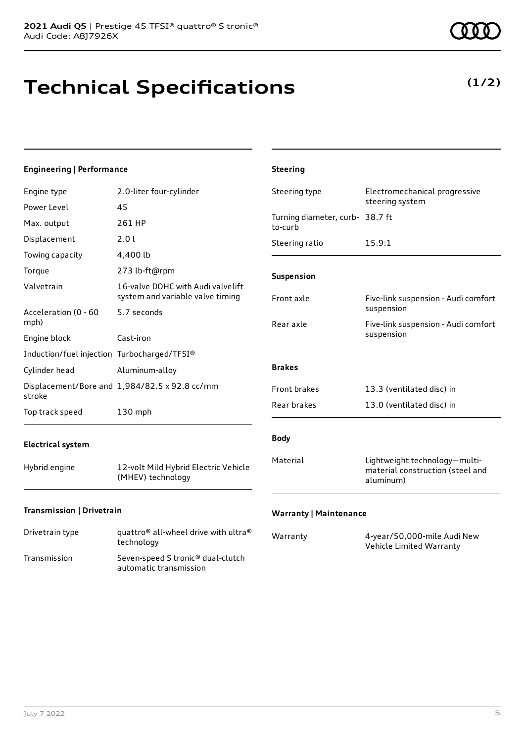# **Technical Specifications**

### **Engineering | Performance**

|                                             | 2.0-liter four-cylinder                                               |                                                |                                                                                |
|---------------------------------------------|-----------------------------------------------------------------------|------------------------------------------------|--------------------------------------------------------------------------------|
| Engine type                                 |                                                                       | Electromechanical progressive<br>Steering type | steering system                                                                |
| Power Level                                 | 45                                                                    |                                                |                                                                                |
| Max. output                                 | 261 HP                                                                | Turning diameter, curb- 38.7 ft<br>to-curb     |                                                                                |
| Displacement                                | 2.01                                                                  | Steering ratio                                 | 15.9:1                                                                         |
| Towing capacity                             | 4,400 lb                                                              |                                                |                                                                                |
| Torque                                      | 273 lb-ft@rpm                                                         | Suspension                                     |                                                                                |
| Valvetrain                                  | 16-valve DOHC with Audi valvelift<br>system and variable valve timing | Front axle                                     | Five-link suspension - Audi comfort                                            |
| Acceleration (0 - 60                        | 5.7 seconds                                                           |                                                | suspension                                                                     |
| mph)                                        |                                                                       | Rear axle                                      | Five-link suspension - Audi comfort                                            |
| Engine block                                | Cast-iron                                                             |                                                | suspension                                                                     |
| Induction/fuel injection Turbocharged/TFSI® |                                                                       |                                                |                                                                                |
| Cylinder head                               | Aluminum-alloy                                                        | <b>Brakes</b>                                  |                                                                                |
| stroke                                      | Displacement/Bore and 1,984/82.5 x 92.8 cc/mm                         | Front brakes                                   | 13.3 (ventilated disc) in                                                      |
| Top track speed                             | $130$ mph                                                             | Rear brakes                                    | 13.0 (ventilated disc) in                                                      |
| <b>Electrical system</b>                    |                                                                       | <b>Body</b>                                    |                                                                                |
| Hybrid engine                               | 12-volt Mild Hybrid Electric Vehicle<br>(MHEV) technology             | Material                                       | Lightweight technology-multi-<br>material construction (steel and<br>aluminum) |

**Steering**

### **Transmission | Drivetrain**

| Drivetrain type | quattro <sup>®</sup> all-wheel drive with ultra <sup>®</sup><br>technology |
|-----------------|----------------------------------------------------------------------------|
| Transmission    | Seven-speed S tronic <sup>®</sup> dual-clutch<br>automatic transmission    |

### **Warranty | Maintenance**

| Warranty | 4-year/50,000-mile Audi New |
|----------|-----------------------------|
|          | Vehicle Limited Warranty    |
|          |                             |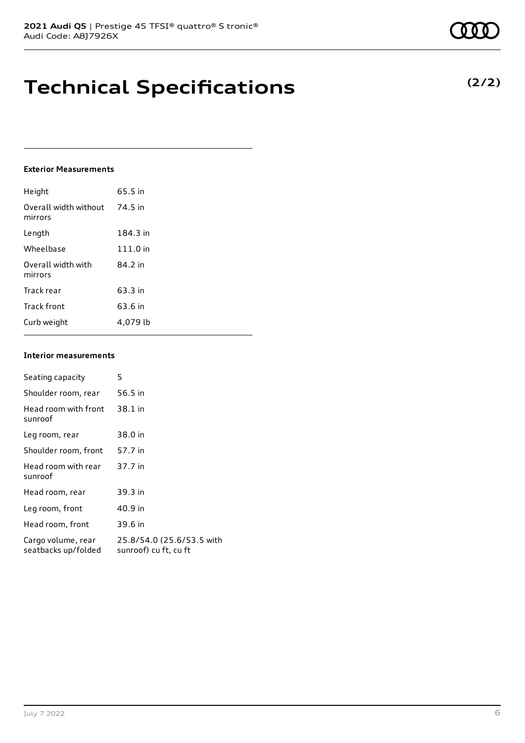## **Technical Specifications**

### **Exterior Measurements**

| Height                           | 65.5 in  |
|----------------------------------|----------|
| Overall width without<br>mirrors | 74.5 in  |
| Length                           | 184.3 in |
| Wheelbase                        | 111.0 in |
| Overall width with<br>mirrors    | 84.2 in  |
| Track rear                       | 63.3 in  |
| Track front                      | 63.6 in  |
| Curb weight                      | 4.079 lb |

#### **Interior measurements**

| Seating capacity                          | 5                                                  |
|-------------------------------------------|----------------------------------------------------|
| Shoulder room, rear                       | 56.5 in                                            |
| Head room with front<br>sunroof           | 38.1 in                                            |
| Leg room, rear                            | 38.0 in                                            |
| Shoulder room, front                      | 57.7 in                                            |
| Head room with rear<br>sunroof            | 37.7 in                                            |
| Head room, rear                           | 39.3 in                                            |
| Leg room, front                           | 40.9 in                                            |
| Head room, front                          | 39.6 in                                            |
| Cargo volume, rear<br>seatbacks up/folded | 25.8/54.0 (25.6/53.5 with<br>sunroof) cu ft, cu ft |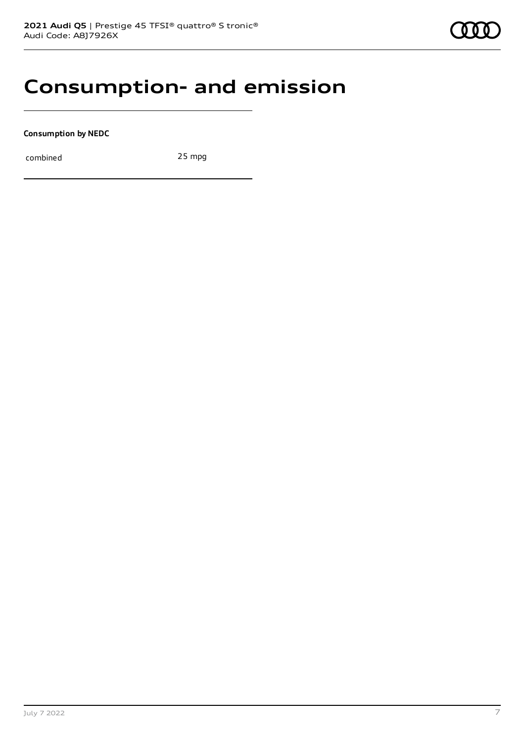### **Consumption- and emission**

**Consumption by NEDC**

combined 25 mpg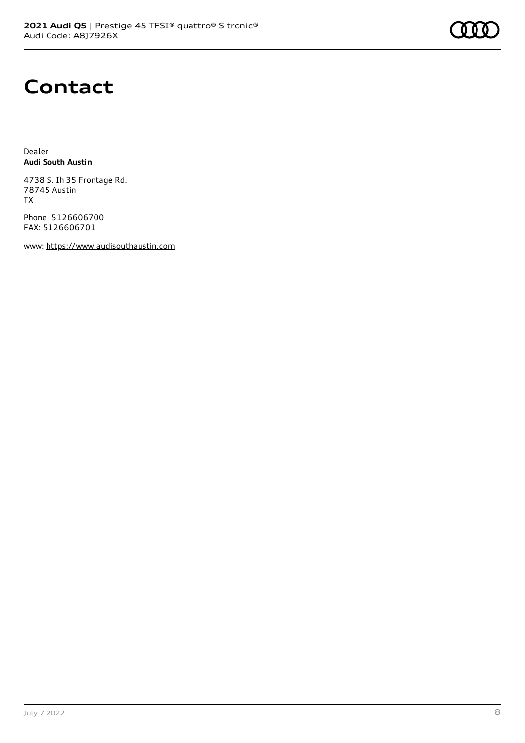# **Contact**

Dealer **Audi South Austin**

4738 S. Ih 35 Frontage Rd. 78745 Austin TX

Phone: 5126606700 FAX: 5126606701

www: [https://www.audisouthaustin.com](https://www.audisouthaustin.com/)